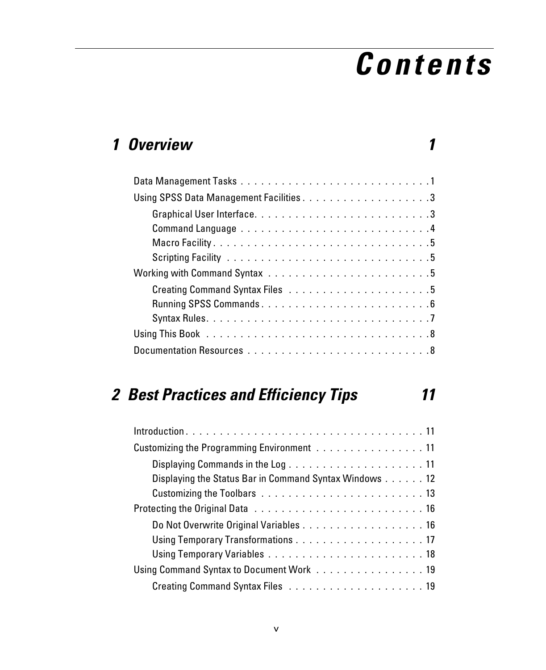# *Contents*

### *1 Overview 1*

### *2 Best Practices and Efficiency Tips 11*

| Customizing the Programming Environment 11             |
|--------------------------------------------------------|
|                                                        |
| Displaying the Status Bar in Command Syntax Windows 12 |
|                                                        |
|                                                        |
|                                                        |
|                                                        |
|                                                        |
| Using Command Syntax to Document Work 19               |
|                                                        |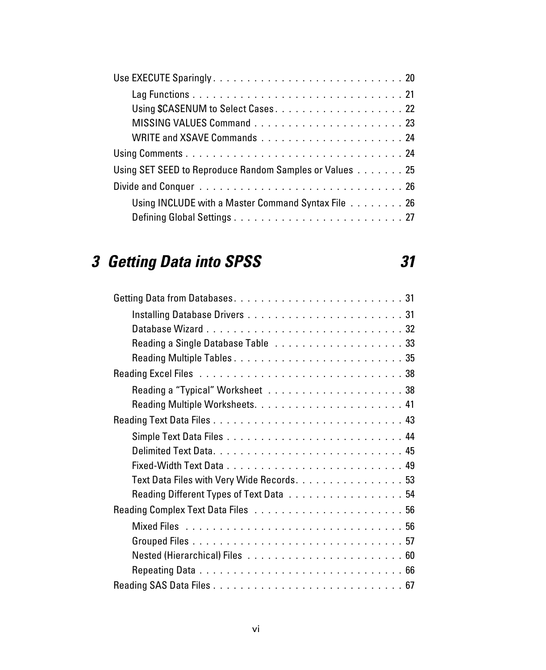| Using SET SEED to Reproduce Random Samples or Values 25 |
|---------------------------------------------------------|
|                                                         |
| Using INCLUDE with a Master Command Syntax File 26      |
|                                                         |

# *3 Getting Data into SPSS 31*

| Text Data Files with Very Wide Records. 53 |
|--------------------------------------------|
|                                            |
|                                            |
|                                            |
|                                            |
|                                            |
|                                            |
|                                            |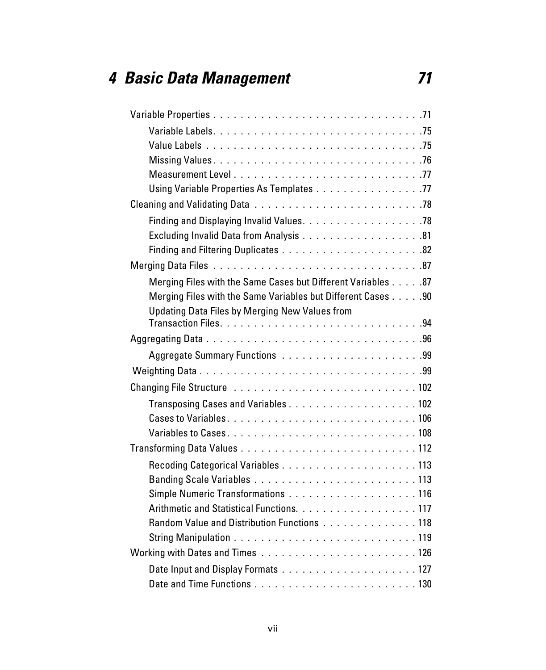## *4 Basic Data Management 71*

| Using Variable Properties As Templates 77                    |
|--------------------------------------------------------------|
|                                                              |
|                                                              |
|                                                              |
|                                                              |
|                                                              |
| Merging Files with the Same Cases but Different Variables 87 |
| Merging Files with the Same Variables but Different Cases 90 |
| Updating Data Files by Merging New Values from               |
|                                                              |
|                                                              |
|                                                              |
|                                                              |
|                                                              |
|                                                              |
|                                                              |
|                                                              |
|                                                              |
|                                                              |
|                                                              |
|                                                              |
| Arithmetic and Statistical Functions. 117                    |
| Random Value and Distribution Functions 118                  |
|                                                              |
|                                                              |
|                                                              |
|                                                              |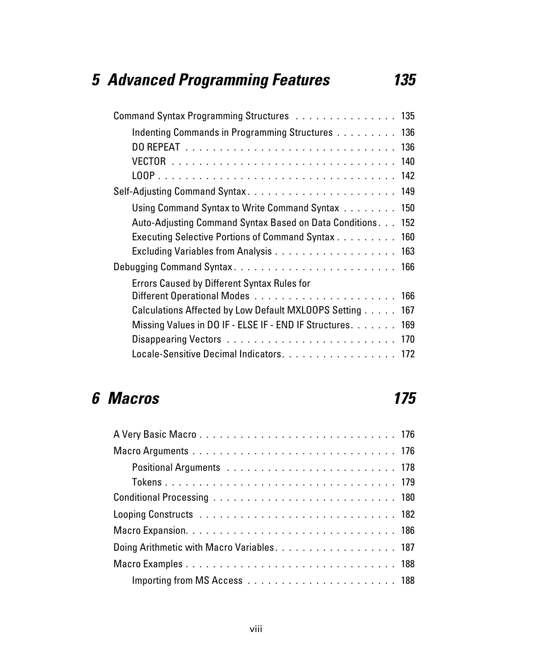## *5 Advanced Programming Features 135*

| Command Syntax Programming Structures 135                   |     |
|-------------------------------------------------------------|-----|
| Indenting Commands in Programming Structures 136            |     |
|                                                             |     |
|                                                             |     |
|                                                             |     |
| Self-Adjusting Command Syntax 149                           |     |
| Using Command Syntax to Write Command Syntax 150            |     |
| Auto-Adjusting Command Syntax Based on Data Conditions. 152 |     |
| Executing Selective Portions of Command Syntax 160          |     |
|                                                             |     |
|                                                             |     |
| <b>Errors Caused by Different Syntax Rules for</b>          |     |
|                                                             |     |
| Calculations Affected by Low Default MXL00PS Setting        | 167 |
| Missing Values in DO IF - ELSE IF - END IF Structures. 169  |     |
|                                                             |     |
| Locale-Sensitive Decimal Indicators. 172                    |     |

### *6 Macros 175*

| Doing Arithmetic with Macro Variables. 187 |  |
|--------------------------------------------|--|
|                                            |  |
|                                            |  |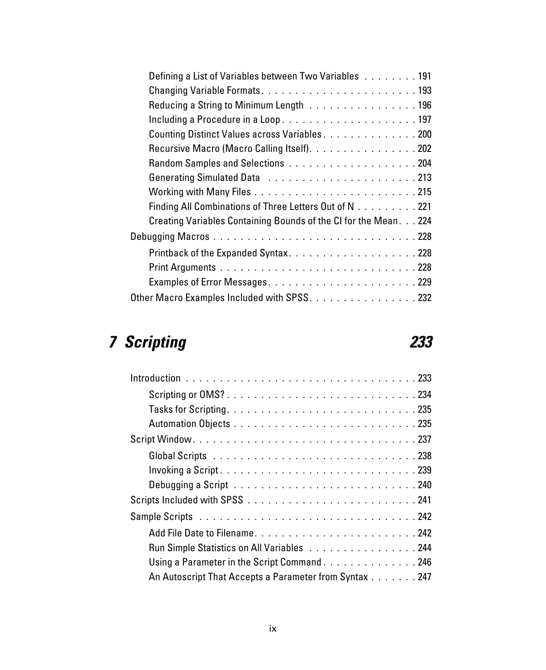| Defining a List of Variables between Two Variables 191           |  |
|------------------------------------------------------------------|--|
|                                                                  |  |
| Reducing a String to Minimum Length 196                          |  |
| Including a Procedure in a Loop197                               |  |
| Counting Distinct Values across Variables200                     |  |
| Recursive Macro (Macro Calling Itself). 202                      |  |
|                                                                  |  |
|                                                                  |  |
|                                                                  |  |
| Finding All Combinations of Three Letters Out of N 221           |  |
| Creating Variables Containing Bounds of the CI for the Mean. 224 |  |
|                                                                  |  |
| Printback of the Expanded Syntax228                              |  |
|                                                                  |  |
|                                                                  |  |
| Other Macro Examples Included with SPSS. 232                     |  |

## *7 Scripting 233*

| Scripting or OMS?234                                   |
|--------------------------------------------------------|
|                                                        |
|                                                        |
|                                                        |
|                                                        |
|                                                        |
|                                                        |
|                                                        |
|                                                        |
|                                                        |
| Run Simple Statistics on All Variables 244             |
| Using a Parameter in the Script Command246             |
| An Autoscript That Accepts a Parameter from Syntax 247 |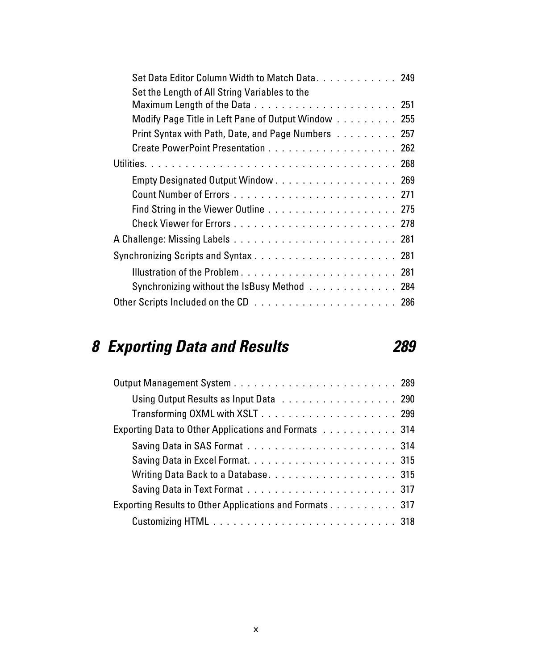| Set Data Editor Column Width to Match Data 249<br>Set the Length of All String Variables to the |
|-------------------------------------------------------------------------------------------------|
|                                                                                                 |
| Modify Page Title in Left Pane of Output Window 255                                             |
| Print Syntax with Path, Date, and Page Numbers 257                                              |
|                                                                                                 |
|                                                                                                 |
| Empty Designated Output Window 269                                                              |
|                                                                                                 |
|                                                                                                 |
|                                                                                                 |
|                                                                                                 |
|                                                                                                 |
|                                                                                                 |
| Synchronizing without the IsBusy Method 284                                                     |
|                                                                                                 |

# *8 Exporting Data and Results 289*

| Using Output Results as Input Data 290                  |  |
|---------------------------------------------------------|--|
|                                                         |  |
| Exporting Data to Other Applications and Formats 314    |  |
|                                                         |  |
|                                                         |  |
|                                                         |  |
|                                                         |  |
| Exporting Results to Other Applications and Formats 317 |  |
|                                                         |  |